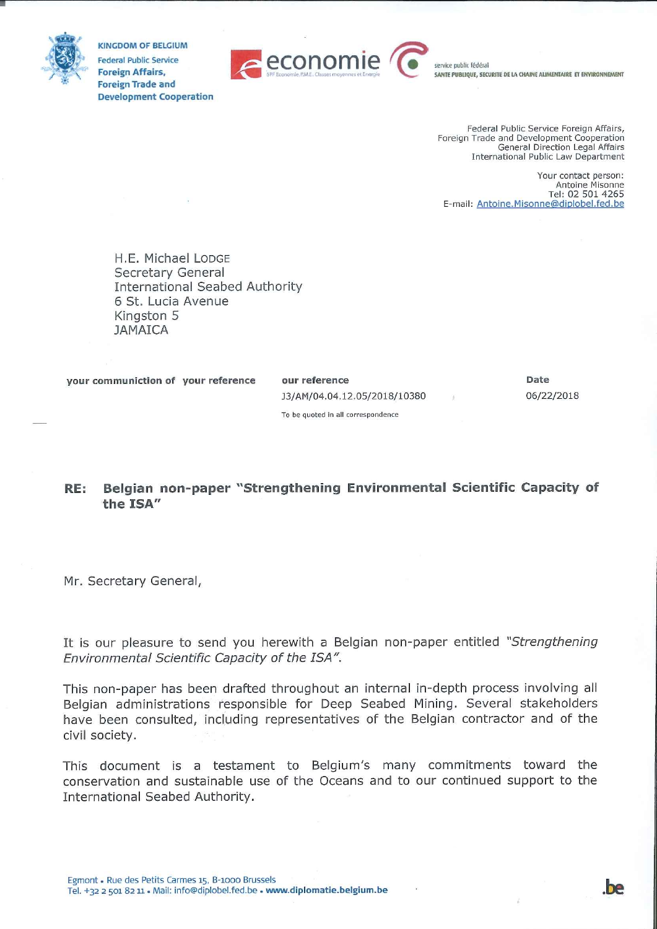

**KINGDOM OF BELGIUM Federal Public Service Foreign Affairs, Foreign Trade and Development Cooperation** 



service public fédéral SANTE PUBLIQUE, SECURITE DE LA CHAINE ALIMENTAIRE ET ENVIRONNEMENT

Federal Public Service Foreign Affairs, Foreign Trade and Development Cooperation General Direction Legal Affairs International Public Law Department

Your contact person: Antoine Misonne Tel: 02 501 4265 E-mail: Antoine.Misonne@diplobel.fed.be

H.E. Michael LODGE Secretary General **International Seabed Authority** 6 St. Lucia Avenue Kingston 5 **JAMAICA** 

your communiction of your reference

our reference J3/AM/04.04.12.05/2018/10380 Date 06/22/2018

To be quoted in all correspondence

#### Belgian non-paper "Strengthening Environmental Scientific Capacity of RE: the ISA"

Mr. Secretary General,

It is our pleasure to send you herewith a Belgian non-paper entitled "Strengthening Environmental Scientific Capacity of the ISA".

This non-paper has been drafted throughout an internal in-depth process involving all Belgian administrations responsible for Deep Seabed Mining. Several stakeholders have been consulted, including representatives of the Belgian contractor and of the civil society.

This document is a testament to Belgium's many commitments toward the conservation and sustainable use of the Oceans and to our continued support to the International Seabed Authority.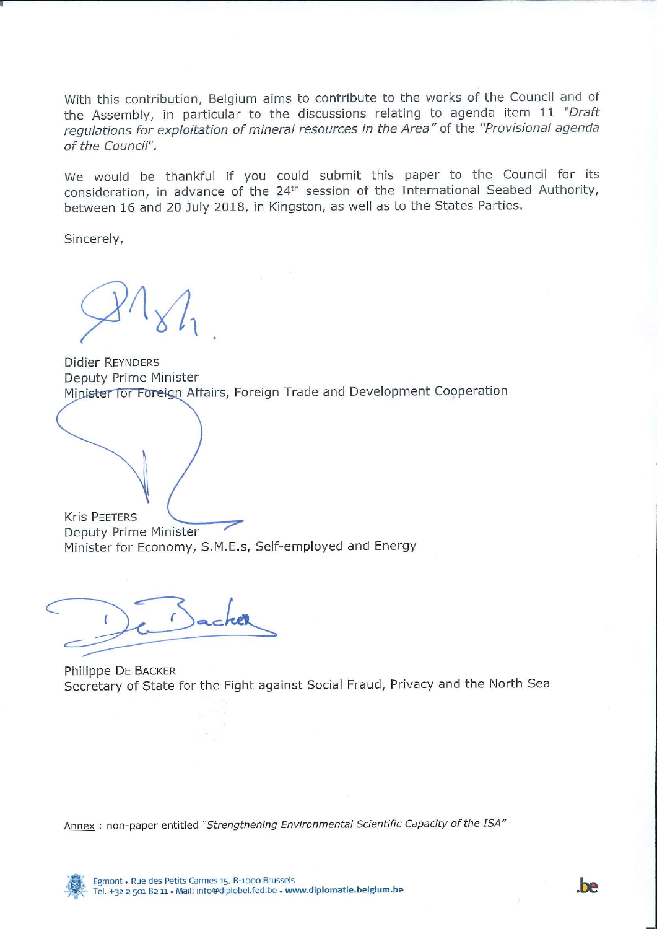With this contribution, Belgium aims to contribute to the works of the Council and of the Assembly, in particular to the discussions relating to agenda item 11 "Draft regulations for exploitation of mineral resources in the Area" of the "Provisional agenda of the Council".

We would be thankful if you could submit this paper to the Council for its consideration, in advance of the 24<sup>th</sup> session of the International Seabed Authority, between 16 and 20 July 2018, in Kingston, as well as to the States Parties.

Sincerely,

**Didier REYNDERS** Deputy Prime Minister Minister for Foreign Affairs, Foreign Trade and Development Cooperation

**Kris PEETERS** Deputy Prime Minister Minister for Economy, S.M.E.s, Self-employed and Energy

Philippe DE BACKER Secretary of State for the Fight against Social Fraud, Privacy and the North Sea

Annex: non-paper entitled "Strengthening Environmental Scientific Capacity of the ISA"

**be** 

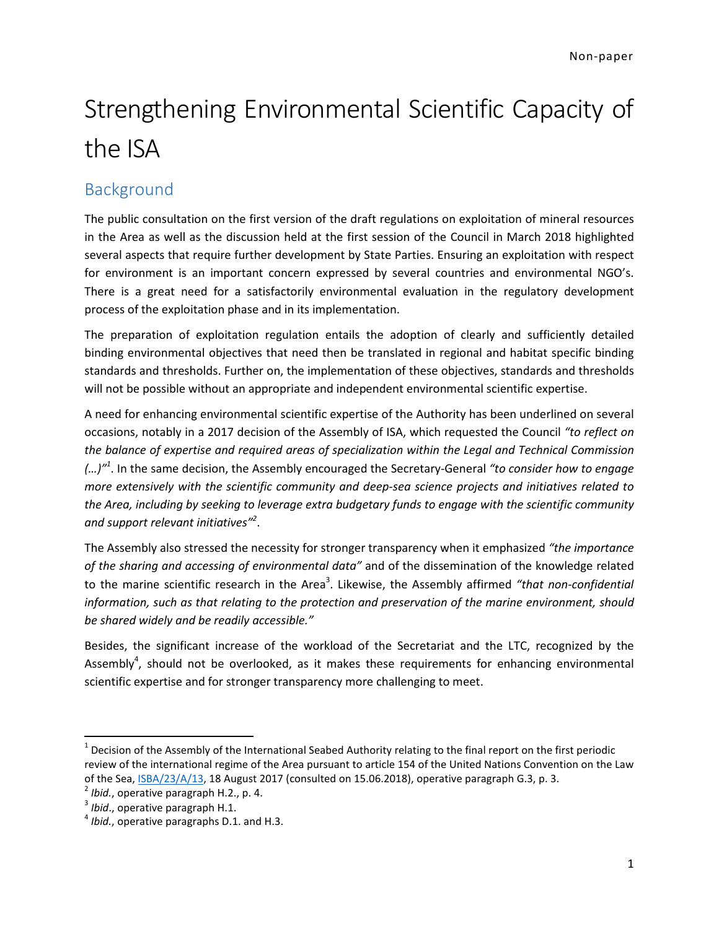# Strengthening Environmental Scientific Capacity of the ISA

## Background

The public consultation on the first version of the draft regulations on exploitation of mineral resources in the Area as well as the discussion held at the first session of the Council in March 2018 highlighted several aspects that require further development by State Parties. Ensuring an exploitation with respect for environment is an important concern expressed by several countries and environmental NGO's. There is a great need for a satisfactorily environmental evaluation in the regulatory development process of the exploitation phase and in its implementation.

The preparation of exploitation regulation entails the adoption of clearly and sufficiently detailed binding environmental objectives that need then be translated in regional and habitat specific binding standards and thresholds. Further on, the implementation of these objectives, standards and thresholds will not be possible without an appropriate and independent environmental scientific expertise.

A need for enhancing environmental scientific expertise of the Authority has been underlined on several occasions, notably in a 2017 decision of the Assembly of ISA, which requested the Council *"to reflect on the balance of expertise and required areas of specialization within the Legal and Technical Commission (…)"<sup>1</sup>* . In the same decision, the Assembly encouraged the Secretary-General *"to consider how to engage more extensively with the scientific community and deep-sea science projects and initiatives related to the Area, including by seeking to leverage extra budgetary funds to engage with the scientific community and support relevant initiatives"<sup>2</sup>* .

The Assembly also stressed the necessity for stronger transparency when it emphasized *"the importance of the sharing and accessing of environmental data"* and of the dissemination of the knowledge related to the marine scientific research in the Area<sup>3</sup>. Likewise, the Assembly affirmed "that non-confidential *information, such as that relating to the protection and preservation of the marine environment, should be shared widely and be readily accessible."*

Besides, the significant increase of the workload of the Secretariat and the LTC, recognized by the Assembly<sup>4</sup>, should not be overlooked, as it makes these requirements for enhancing environmental scientific expertise and for stronger transparency more challenging to meet.

 $\overline{a}$ 

 $1$  Decision of the Assembly of the International Seabed Authority relating to the final report on the first periodic review of the international regime of the Area pursuant to article 154 of the United Nations Convention on the Law of the Sea, ISBA/23/A/13, 18 August 2017 (consulted on 15.06.2018), operative paragraph G.3, p. 3.

<sup>2</sup> *Ibid.*, operative paragraph H.2., p. 4.

<sup>3</sup> *Ibid*., operative paragraph H.1.

<sup>4</sup> *Ibid.*, operative paragraphs D.1. and H.3.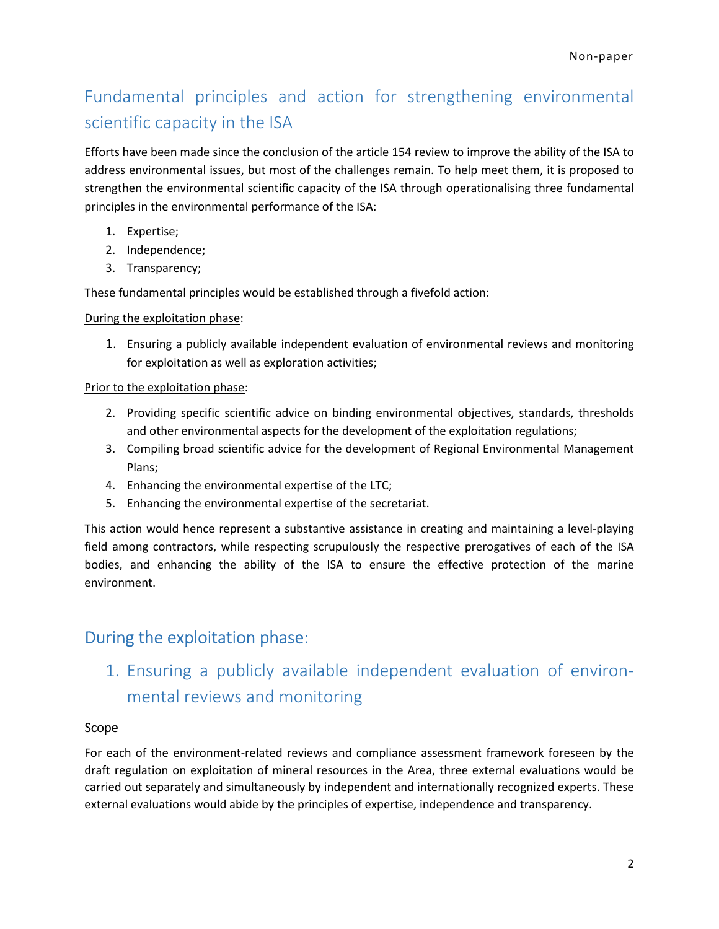# Fundamental principles and action for strengthening environmental scientific capacity in the ISA

Efforts have been made since the conclusion of the article 154 review to improve the ability of the ISA to address environmental issues, but most of the challenges remain. To help meet them, it is proposed to strengthen the environmental scientific capacity of the ISA through operationalising three fundamental principles in the environmental performance of the ISA:

- 1. Expertise;
- 2. Independence;
- 3. Transparency;

These fundamental principles would be established through a fivefold action:

During the exploitation phase:

1. Ensuring a publicly available independent evaluation of environmental reviews and monitoring for exploitation as well as exploration activities;

#### Prior to the exploitation phase:

- 2. Providing specific scientific advice on binding environmental objectives, standards, thresholds and other environmental aspects for the development of the exploitation regulations;
- 3. Compiling broad scientific advice for the development of Regional Environmental Management Plans;
- 4. Enhancing the environmental expertise of the LTC;
- 5. Enhancing the environmental expertise of the secretariat.

This action would hence represent a substantive assistance in creating and maintaining a level-playing field among contractors, while respecting scrupulously the respective prerogatives of each of the ISA bodies, and enhancing the ability of the ISA to ensure the effective protection of the marine environment.

### During the exploitation phase:

1. Ensuring a publicly available independent evaluation of environmental reviews and monitoring

#### Scope

For each of the environment-related reviews and compliance assessment framework foreseen by the draft regulation on exploitation of mineral resources in the Area, three external evaluations would be carried out separately and simultaneously by independent and internationally recognized experts. These external evaluations would abide by the principles of expertise, independence and transparency.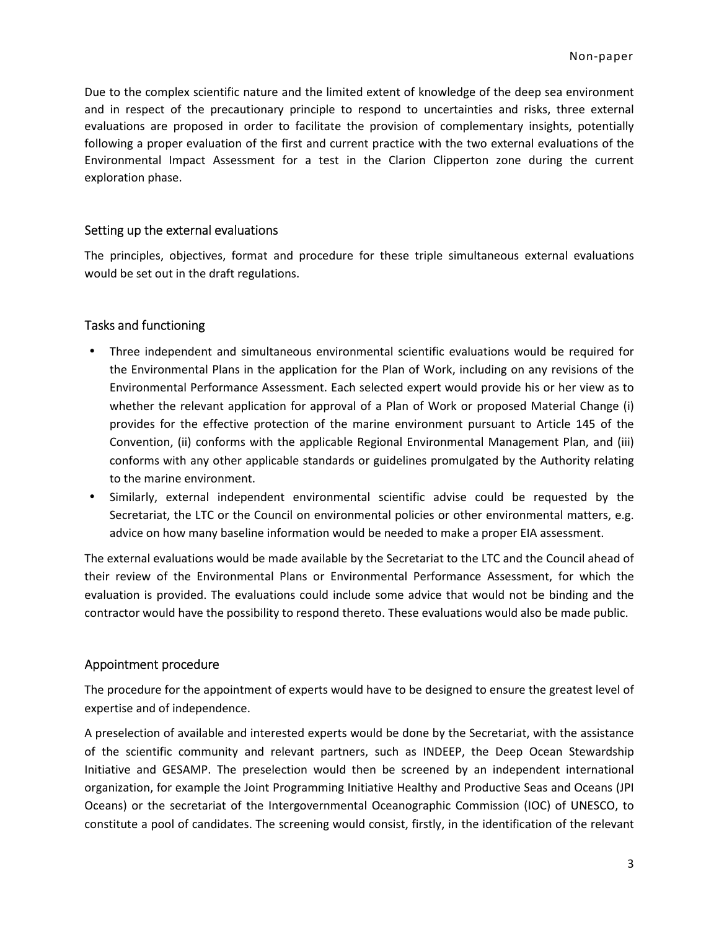Due to the complex scientific nature and the limited extent of knowledge of the deep sea environment and in respect of the precautionary principle to respond to uncertainties and risks, three external evaluations are proposed in order to facilitate the provision of complementary insights, potentially following a proper evaluation of the first and current practice with the two external evaluations of the Environmental Impact Assessment for a test in the Clarion Clipperton zone during the current exploration phase.

#### Setting up the external evaluations

The principles, objectives, format and procedure for these triple simultaneous external evaluations would be set out in the draft regulations.

#### Tasks and functioning

- Three independent and simultaneous environmental scientific evaluations would be required for the Environmental Plans in the application for the Plan of Work, including on any revisions of the Environmental Performance Assessment. Each selected expert would provide his or her view as to whether the relevant application for approval of a Plan of Work or proposed Material Change (i) provides for the effective protection of the marine environment pursuant to Article 145 of the Convention, (ii) conforms with the applicable Regional Environmental Management Plan, and (iii) conforms with any other applicable standards or guidelines promulgated by the Authority relating to the marine environment.
- Similarly, external independent environmental scientific advise could be requested by the Secretariat, the LTC or the Council on environmental policies or other environmental matters, e.g. advice on how many baseline information would be needed to make a proper EIA assessment.

The external evaluations would be made available by the Secretariat to the LTC and the Council ahead of their review of the Environmental Plans or Environmental Performance Assessment, for which the evaluation is provided. The evaluations could include some advice that would not be binding and the contractor would have the possibility to respond thereto. These evaluations would also be made public.

#### Appointment procedure

The procedure for the appointment of experts would have to be designed to ensure the greatest level of expertise and of independence.

A preselection of available and interested experts would be done by the Secretariat, with the assistance of the scientific community and relevant partners, such as INDEEP, the Deep Ocean Stewardship Initiative and GESAMP. The preselection would then be screened by an independent international organization, for example the Joint Programming Initiative Healthy and Productive Seas and Oceans (JPI Oceans) or the secretariat of the Intergovernmental Oceanographic Commission (IOC) of UNESCO, to constitute a pool of candidates. The screening would consist, firstly, in the identification of the relevant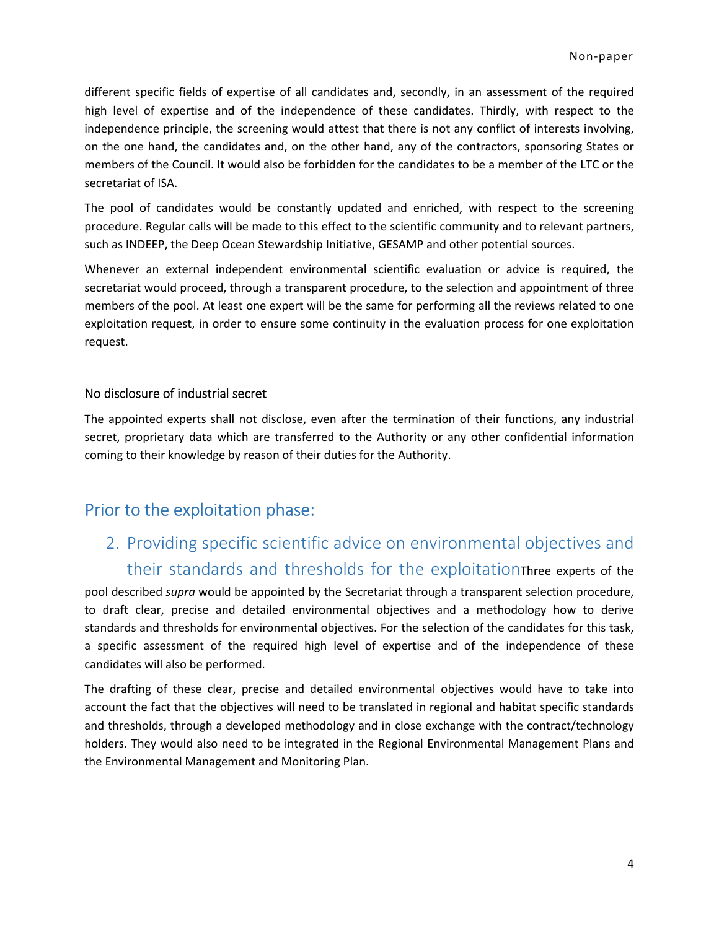different specific fields of expertise of all candidates and, secondly, in an assessment of the required high level of expertise and of the independence of these candidates. Thirdly, with respect to the independence principle, the screening would attest that there is not any conflict of interests involving, on the one hand, the candidates and, on the other hand, any of the contractors, sponsoring States or members of the Council. It would also be forbidden for the candidates to be a member of the LTC or the secretariat of ISA.

The pool of candidates would be constantly updated and enriched, with respect to the screening procedure. Regular calls will be made to this effect to the scientific community and to relevant partners, such as INDEEP, the Deep Ocean Stewardship Initiative, GESAMP and other potential sources.

Whenever an external independent environmental scientific evaluation or advice is required, the secretariat would proceed, through a transparent procedure, to the selection and appointment of three members of the pool. At least one expert will be the same for performing all the reviews related to one exploitation request, in order to ensure some continuity in the evaluation process for one exploitation request.

#### No disclosure of industrial secret

The appointed experts shall not disclose, even after the termination of their functions, any industrial secret, proprietary data which are transferred to the Authority or any other confidential information coming to their knowledge by reason of their duties for the Authority.

### Prior to the exploitation phase:

# 2. Providing specific scientific advice on environmental objectives and their standards and thresholds for the exploitationThree experts of the

pool described *supra* would be appointed by the Secretariat through a transparent selection procedure, to draft clear, precise and detailed environmental objectives and a methodology how to derive standards and thresholds for environmental objectives. For the selection of the candidates for this task, a specific assessment of the required high level of expertise and of the independence of these candidates will also be performed.

The drafting of these clear, precise and detailed environmental objectives would have to take into account the fact that the objectives will need to be translated in regional and habitat specific standards and thresholds, through a developed methodology and in close exchange with the contract/technology holders. They would also need to be integrated in the Regional Environmental Management Plans and the Environmental Management and Monitoring Plan.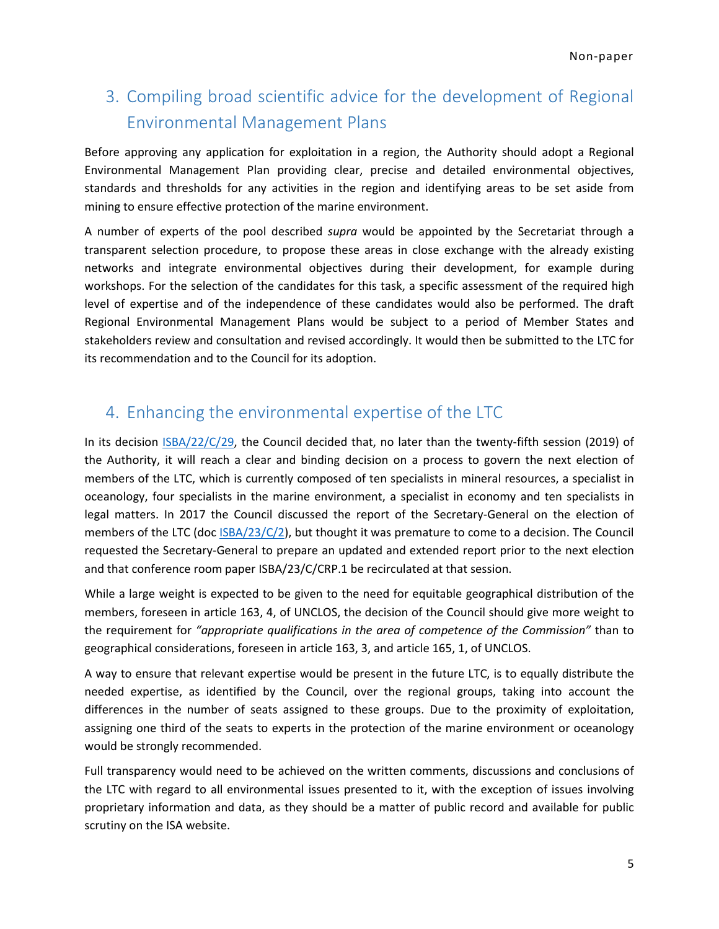# 3. Compiling broad scientific advice for the development of Regional Environmental Management Plans

Before approving any application for exploitation in a region, the Authority should adopt a Regional Environmental Management Plan providing clear, precise and detailed environmental objectives, standards and thresholds for any activities in the region and identifying areas to be set aside from mining to ensure effective protection of the marine environment.

A number of experts of the pool described *supra* would be appointed by the Secretariat through a transparent selection procedure, to propose these areas in close exchange with the already existing networks and integrate environmental objectives during their development, for example during workshops. For the selection of the candidates for this task, a specific assessment of the required high level of expertise and of the independence of these candidates would also be performed. The draft Regional Environmental Management Plans would be subject to a period of Member States and stakeholders review and consultation and revised accordingly. It would then be submitted to the LTC for its recommendation and to the Council for its adoption.

### 4. Enhancing the environmental expertise of the LTC

In its decision ISBA/22/C/29, the Council decided that, no later than the twenty-fifth session (2019) of the Authority, it will reach a clear and binding decision on a process to govern the next election of members of the LTC, which is currently composed of ten specialists in mineral resources, a specialist in oceanology, four specialists in the marine environment, a specialist in economy and ten specialists in legal matters. In 2017 the Council discussed the report of the Secretary-General on the election of members of the LTC (doc ISBA/23/C/2), but thought it was premature to come to a decision. The Council requested the Secretary-General to prepare an updated and extended report prior to the next election and that conference room paper ISBA/23/C/CRP.1 be recirculated at that session.

While a large weight is expected to be given to the need for equitable geographical distribution of the members, foreseen in article 163, 4, of UNCLOS, the decision of the Council should give more weight to the requirement for *"appropriate qualifications in the area of competence of the Commission"* than to geographical considerations, foreseen in article 163, 3, and article 165, 1, of UNCLOS.

A way to ensure that relevant expertise would be present in the future LTC, is to equally distribute the needed expertise, as identified by the Council, over the regional groups, taking into account the differences in the number of seats assigned to these groups. Due to the proximity of exploitation, assigning one third of the seats to experts in the protection of the marine environment or oceanology would be strongly recommended.

Full transparency would need to be achieved on the written comments, discussions and conclusions of the LTC with regard to all environmental issues presented to it, with the exception of issues involving proprietary information and data, as they should be a matter of public record and available for public scrutiny on the ISA website.